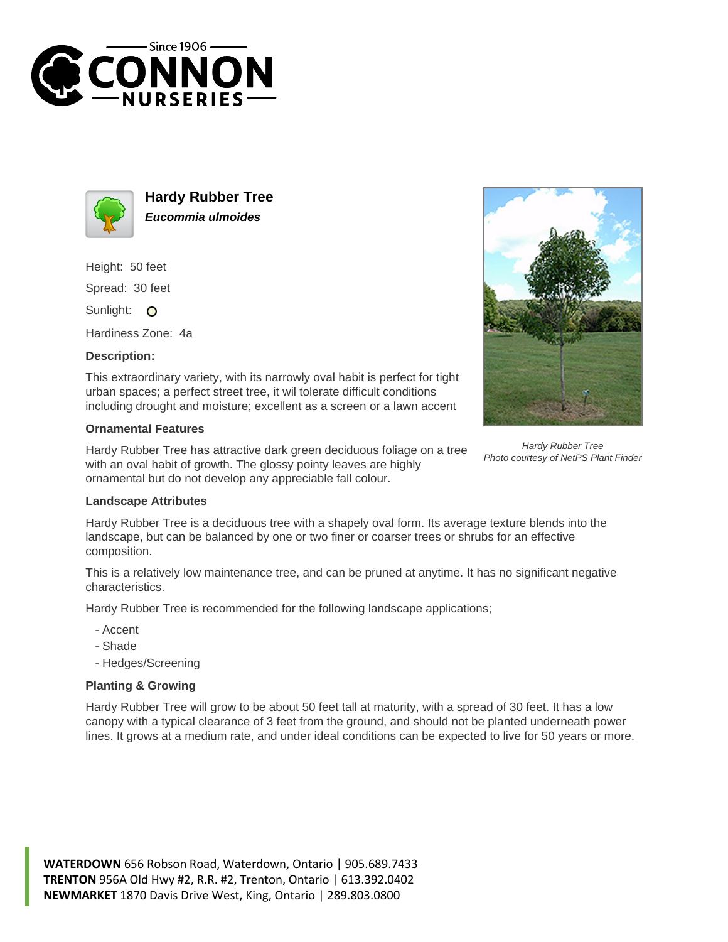



**Hardy Rubber Tree Eucommia ulmoides**

Height: 50 feet Spread: 30 feet

Sunlight: O

Hardiness Zone: 4a

## **Description:**

This extraordinary variety, with its narrowly oval habit is perfect for tight urban spaces; a perfect street tree, it wil tolerate difficult conditions including drought and moisture; excellent as a screen or a lawn accent

## **Ornamental Features**

Hardy Rubber Tree has attractive dark green deciduous foliage on a tree with an oval habit of growth. The glossy pointy leaves are highly ornamental but do not develop any appreciable fall colour.



Hardy Rubber Tree Photo courtesy of NetPS Plant Finder

## **Landscape Attributes**

Hardy Rubber Tree is a deciduous tree with a shapely oval form. Its average texture blends into the landscape, but can be balanced by one or two finer or coarser trees or shrubs for an effective composition.

This is a relatively low maintenance tree, and can be pruned at anytime. It has no significant negative characteristics.

Hardy Rubber Tree is recommended for the following landscape applications;

- Accent
- Shade
- Hedges/Screening

## **Planting & Growing**

Hardy Rubber Tree will grow to be about 50 feet tall at maturity, with a spread of 30 feet. It has a low canopy with a typical clearance of 3 feet from the ground, and should not be planted underneath power lines. It grows at a medium rate, and under ideal conditions can be expected to live for 50 years or more.

**WATERDOWN** 656 Robson Road, Waterdown, Ontario | 905.689.7433 **TRENTON** 956A Old Hwy #2, R.R. #2, Trenton, Ontario | 613.392.0402 **NEWMARKET** 1870 Davis Drive West, King, Ontario | 289.803.0800